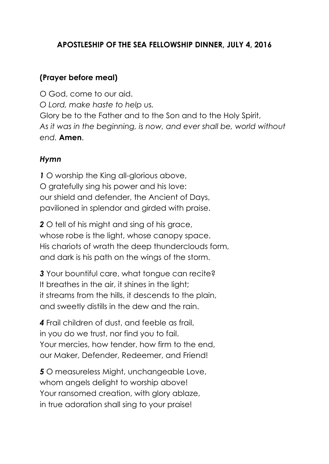### **APOSTLESHIP OF THE SEA FELLOWSHIP DINNER, JULY 4, 2016**

#### **(Prayer before meal)**

O God, come to our aid. *O Lord, make haste to help us.* Glory be to the Father and to the Son and to the Holy Spirit, *As it was in the beginning, is now, and ever shall be, world without end.* **Amen**.

#### *Hymn*

*1* O worship the King all-glorious above, O gratefully sing his power and his love: our shield and defender, the Ancient of Days, pavilioned in splendor and girded with praise.

*2* O tell of his might and sing of his grace, whose robe is the light, whose canopy space. His chariots of wrath the deep thunderclouds form, and dark is his path on the wings of the storm.

*3* Your bountiful care, what tongue can recite? It breathes in the air, it shines in the light; it streams from the hills, it descends to the plain, and sweetly distills in the dew and the rain.

*4* Frail children of dust, and feeble as frail, in you do we trust, nor find you to fail. Your mercies, how tender, how firm to the end, our Maker, Defender, Redeemer, and Friend!

*5* O measureless Might, unchangeable Love, whom angels delight to worship above! Your ransomed creation, with glory ablaze, in true adoration shall sing to your praise!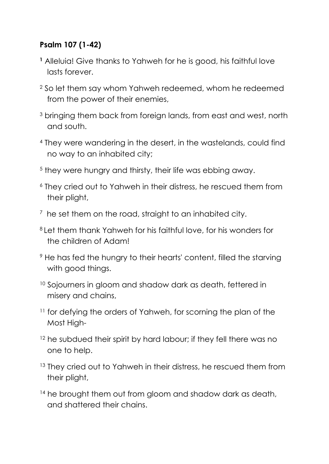# **Psalm 107 (1-42)**

- **<sup>1</sup>** Alleluia! Give thanks to [Yahweh](http://www.catholic.org/encyclopedia/view.php?id=6291) for he is good, his faithful love lasts forever.
- 2 So let them say whom Yahweh redeemed, whom he redeemed from the power of their enemies,
- 3 bringing them back from foreign lands, from east and west, north and south.
- 4 They were wandering in the desert, in the wastelands, could find no way to an inhabited city;
- 5 they were hungry and thirsty, their life was ebbing away.
- 6 They cried out to Yahweh in their distress, he rescued them from their plight,
- $^7$  he set them on the road, straight to an inhabited city.
- <sup>8</sup>Let them thank Yahweh for his faithful love, for his wonders for the children of Adam!
- 9 He has fed the hungry to their hearts' content, filled the starving with good things.
- <sup>10</sup> Sojourners in gloom and shadow dark as death, fettered in misery and chains,
- <sup>11</sup> for defying the orders of Yahweh, for scorning the plan of the Most High-
- <sup>12</sup> he subdued their spirit by hard labour; if they fell there was no one to help.
- <sup>13</sup> They cried out to Yahweh in their distress, he rescued them from their plight,
- <sup>14</sup> he brought them out from gloom and shadow dark as death, and shattered their chains.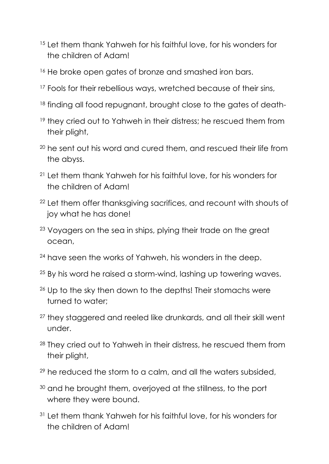- <sup>15</sup> Let them thank Yahweh for his faithful love, for his wonders for the children of Adam!
- <sup>16</sup> He broke open gates of bronze and smashed iron bars.
- <sup>17</sup> Fools for their rebellious ways, wretched because of their sins,
- <sup>18</sup> finding all food repugnant, brought close to the gates of death-
- <sup>19</sup> they cried out to Yahweh in their distress; he rescued them from their plight,
- <sup>20</sup> he sent out his word and cured them, and rescued their life from the abyss.
- <sup>21</sup> Let them thank Yahweh for his faithful love, for his wonders for the children of Adam!
- <sup>22</sup> Let them offer thanksgiving sacrifices, and recount with shouts of joy what he has done!
- <sup>23</sup> Voyagers on the sea in ships, plying their trade on the great ocean,
- <sup>24</sup> have seen the works of Yahweh, his wonders in the deep.
- <sup>25</sup> By his word he raised a storm-wind, lashing up towering waves.
- <sup>26</sup> Up to the sky then down to the depths! Their stomachs were turned to water;
- <sup>27</sup> they staggered and reeled like drunkards, and all their skill went under.
- 28 They cried out to Yahweh in their distress, he rescued them from their plight,
- $29$  he reduced the storm to a calm, and all the waters subsided,
- <sup>30</sup> and he brought them, overjoyed at the stillness, to the port where they were bound.
- <sup>31</sup> Let them thank Yahweh for his faithful love, for his wonders for the children of Adam!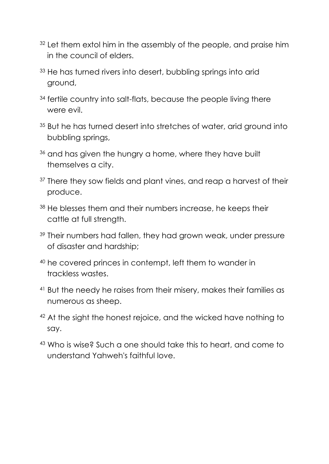- <sup>32</sup> Let them extol him in the assembly of the people, and praise him in the council of elders.
- <sup>33</sup> He has turned rivers into desert, bubbling springs into arid ground,
- <sup>34</sup> fertile country into salt-flats, because the people living there were evil.
- <sup>35</sup> But he has turned desert into stretches of water, arid ground into bubbling springs,
- <sup>36</sup> and has given the hungry a home, where they have built themselves a city.
- <sup>37</sup> There they sow fields and plant vines, and reap a harvest of their produce.
- 38 He blesses them and their numbers increase, he keeps their cattle at full strength.
- <sup>39</sup> Their numbers had fallen, they had grown weak, under pressure of disaster and hardship;
- <sup>40</sup> he covered princes in contempt, left them to wander in trackless wastes.
- <sup>41</sup> But the needy he raises from their misery, makes their families as numerous as sheep.
- 42 At the sight the honest rejoice, and the wicked have nothing to say.
- <sup>43</sup> Who is wise? Such a one should take this to heart, and come to understand Yahweh's faithful love.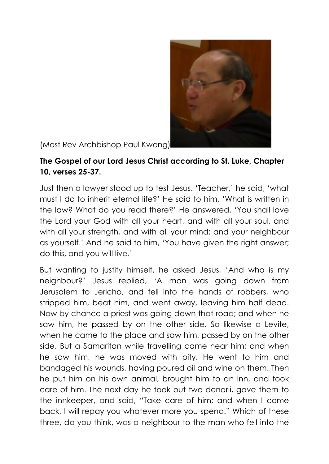

(Most Rev Archbishop Paul Kwong)

# **The Gospel of our Lord Jesus Christ according to St. Luke, Chapter 10, verses 25-37.**

Just then a lawyer stood up to test Jesus. 'Teacher,' he said, 'what must I do to inherit eternal life?' He said to him, 'What is written in the law? What do you read there?' He answered, 'You shall love the Lord your God with all your heart, and with all your soul, and with all your strength, and with all your mind; and your neighbour as yourself.' And he said to him, 'You have given the right answer; do this, and you will live.'

But wanting to justify himself, he asked Jesus, 'And who is my neighbour?' Jesus replied, 'A man was going down from Jerusalem to Jericho, and fell into the hands of robbers, who stripped him, beat him, and went away, leaving him half dead. Now by chance a priest was going down that road; and when he saw him, he passed by on the other side. So likewise a Levite, when he came to the place and saw him, passed by on the other side. But a Samaritan while travelling came near him; and when he saw him, he was moved with pity. He went to him and bandaged his wounds, having poured oil and wine on them. Then he put him on his own animal, brought him to an inn, and took care of him. The next day he took out two denarii, gave them to the innkeeper, and said, "Take care of him; and when I come back, I will repay you whatever more you spend." Which of these three, do you think, was a neighbour to the man who fell into the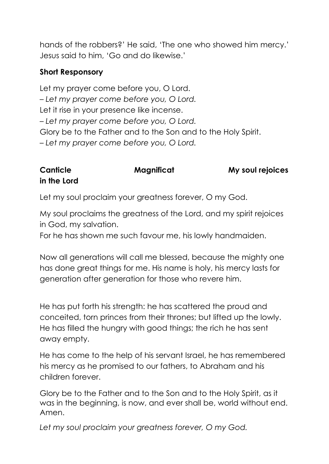hands of the robbers?' He said, 'The one who showed him mercy.' Jesus said to him, 'Go and do likewise.'

### **Short Responsory**

Let my prayer come before you, O Lord. – *Let my prayer come before you, O Lord.* Let it rise in your presence like incense. – *Let my prayer come before you, O Lord.* Glory be to the Father and to the Son and to the Holy Spirit. – *Let my prayer come before you, O Lord.*

# **Canticle Magnificat** My soul rejoices **in the Lord**

Let my soul proclaim your greatness forever, O my God.

My soul proclaims the greatness of the Lord, and my spirit rejoices in God, my salvation.

For he has shown me such favour me, his lowly handmaiden.

Now all generations will call me blessed, because the mighty one has done great things for me. His name is holy, his mercy lasts for generation after generation for those who revere him.

He has put forth his strength: he has scattered the proud and conceited, torn princes from their thrones; but lifted up the lowly. He has filled the hungry with good things; the rich he has sent away empty.

He has come to the help of his servant Israel, he has remembered his mercy as he promised to our fathers, to Abraham and his children forever.

Glory be to the Father and to the Son and to the Holy Spirit, as it was in the beginning, is now, and ever shall be, world without end. Amen.

*Let my soul proclaim your greatness forever, O my God.*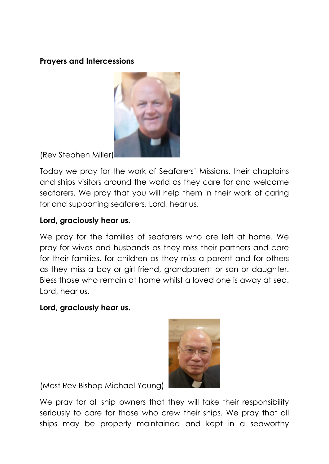#### **Prayers and Intercessions**



(Rev Stephen Miller)

Today we pray for the work of Seafarers' Missions, their chaplains and ships visitors around the world as they care for and welcome seafarers. We pray that you will help them in their work of caring for and supporting seafarers. Lord, hear us.

### **Lord, graciously hear us.**

We pray for the families of seafarers who are left at home. We pray for wives and husbands as they miss their partners and care for their families, for children as they miss a parent and for others as they miss a boy or girl friend, grandparent or son or daughter. Bless those who remain at home whilst a loved one is away at sea. Lord, hear us.

#### **Lord, graciously hear us.**



(Most Rev Bishop Michael Yeung)

We pray for all ship owners that they will take their responsibility seriously to care for those who crew their ships. We pray that all ships may be properly maintained and kept in a seaworthy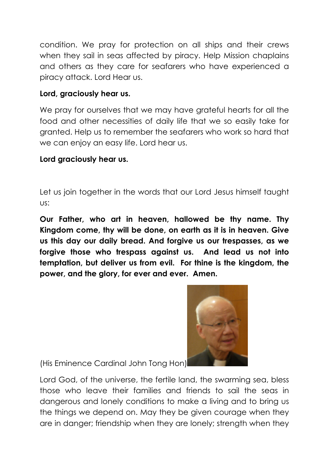condition. We pray for protection on all ships and their crews when they sail in seas affected by piracy. Help Mission chaplains and others as they care for seafarers who have experienced a piracy attack. Lord Hear us.

### **Lord, graciously hear us.**

We pray for ourselves that we may have grateful hearts for all the food and other necessities of daily life that we so easily take for granted. Help us to remember the seafarers who work so hard that we can enjoy an easy life. Lord hear us.

### **Lord graciously hear us.**

Let us join together in the words that our Lord Jesus himself taught us:

**Our Father, who art in heaven, hallowed be thy name. Thy Kingdom come, thy will be done, on earth as it is in heaven. Give us this day our daily bread. And forgive us our trespasses, as we forgive those who trespass against us. And lead us not into temptation, but deliver us from evil. For thine is the kingdom, the power, and the glory, for ever and ever. Amen.**



(His Eminence Cardinal John Tong Hon)

Lord God, of the universe, the fertile land, the swarming sea, bless those who leave their families and friends to sail the seas in dangerous and lonely conditions to make a living and to bring us the things we depend on. May they be given courage when they are in danger; friendship when they are lonely; strength when they